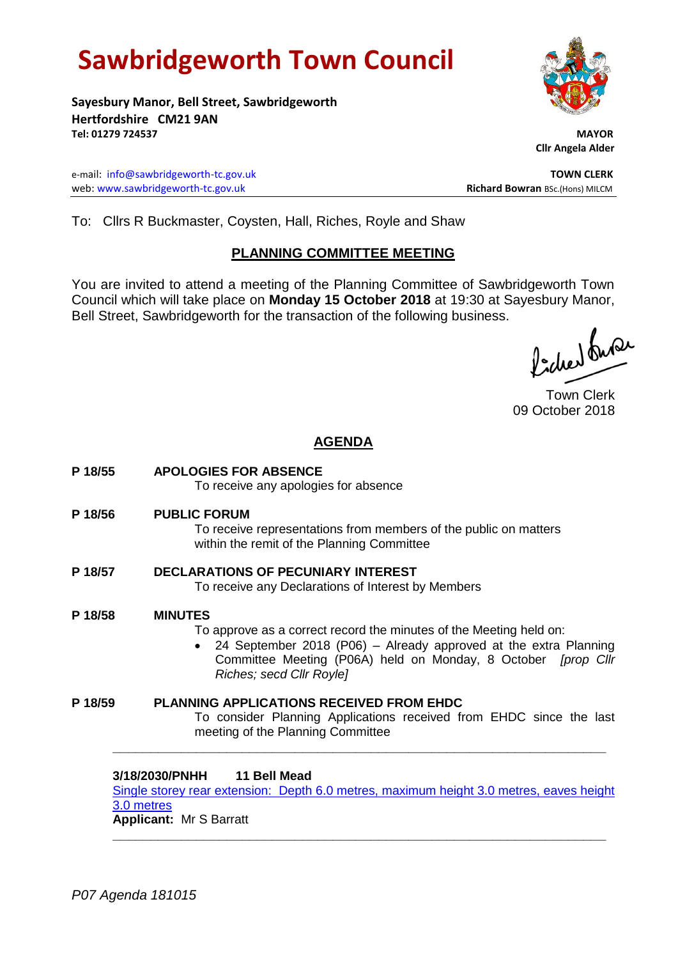# **Sawbridgeworth Town Council**

**Sayesbury Manor, Bell Street, Sawbridgeworth Hertfordshire CM21 9AN Tel: 01279 724537 MAYOR**

e-mail: [info@sawbridgeworth-tc.gov.uk](mailto:info@sawbridgeworth-tc.gov.uk) **TOWN CLERK** web: www.sawbridgeworth-tc.gov.uk **Richard Bowran** BSc.(Hons) MILCM

 **Cllr Angela Alder**

To: Cllrs R Buckmaster, Coysten, Hall, Riches, Royle and Shaw

# **PLANNING COMMITTEE MEETING**

You are invited to attend a meeting of the Planning Committee of Sawbridgeworth Town Council which will take place on **Monday 15 October 2018** at 19:30 at Sayesbury Manor, Bell Street, Sawbridgeworth for the transaction of the following business.

fidee buse

Town Clerk 09 October 2018

# **AGENDA**

**P 18/55 APOLOGIES FOR ABSENCE** To receive any apologies for absence **P 18/56 PUBLIC FORUM** To receive representations from members of the public on matters within the remit of the Planning Committee **P 18/57 DECLARATIONS OF PECUNIARY INTEREST** To receive any Declarations of Interest by Members **P 18/58 MINUTES** To approve as a correct record the minutes of the Meeting held on: 24 September 2018 (P06) – Already approved at the extra Planning Committee Meeting (P06A) held on Monday, 8 October *[prop Cllr Riches; secd Cllr Royle]* **P 18/59 PLANNING APPLICATIONS RECEIVED FROM EHDC** To consider Planning Applications received from EHDC since the last meeting of the Planning Committee

**3/18/2030/PNHH 11 Bell Mead** [Single storey rear extension: Depth 6.0 metres, maximum height 3.0 metres, eaves height](https://publicaccess.eastherts.gov.uk/online-applications/applicationDetails.do?activeTab=documents&keyVal=PEXUA8GL04O00)  3.0 [metres](https://publicaccess.eastherts.gov.uk/online-applications/applicationDetails.do?activeTab=documents&keyVal=PEXUA8GL04O00) **Applicant:** Mr S Barratt **\_\_\_\_\_\_\_\_\_\_\_\_\_\_\_\_\_\_\_\_\_\_\_\_\_\_\_\_\_\_\_\_\_\_\_\_\_\_\_\_\_\_\_\_\_\_\_\_\_\_\_\_\_\_\_\_\_\_\_\_\_\_\_\_\_**

**\_\_\_\_\_\_\_\_\_\_\_\_\_\_\_\_\_\_\_\_\_\_\_\_\_\_\_\_\_\_\_\_\_\_\_\_\_\_\_\_\_\_\_\_\_\_\_\_\_\_\_\_\_\_\_\_\_\_\_\_\_\_\_\_\_**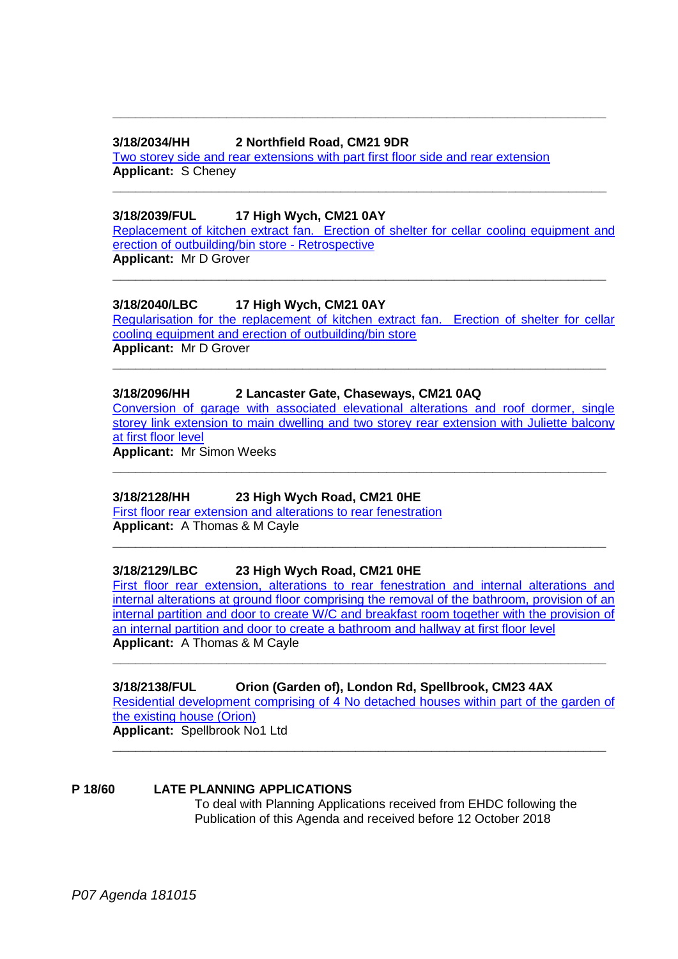#### **3/18/2034/HH 2 Northfield Road, CM21 9DR**

[Two storey side and rear extensions with part first floor side and rear extension](https://publicaccess.eastherts.gov.uk/online-applications/applicationDetails.do?activeTab=documents&keyVal=PEZFJ1GLFXL00)  **Applicant:** S Cheney

### **3/18/2039/FUL 17 High Wych, CM21 0AY**

[Replacement of kitchen extract fan. Erection of shelter for cellar](https://publicaccess.eastherts.gov.uk/online-applications/applicationDetails.do?activeTab=documents&keyVal=PF01RSGLFY100) cooling equipment and [erection of outbuilding/bin store -](https://publicaccess.eastherts.gov.uk/online-applications/applicationDetails.do?activeTab=documents&keyVal=PF01RSGLFY100) Retrospective **Applicant:** Mr D Grover

**\_\_\_\_\_\_\_\_\_\_\_\_\_\_\_\_\_\_\_\_\_\_\_\_\_\_\_\_\_\_\_\_\_\_\_\_\_\_\_\_\_\_\_\_\_\_\_\_\_\_\_\_\_\_\_\_\_\_\_\_\_\_\_\_\_**

**\_\_\_\_\_\_\_\_\_\_\_\_\_\_\_\_\_\_\_\_\_\_\_\_\_\_\_\_\_\_\_\_\_\_\_\_\_\_\_\_\_\_\_\_\_\_\_\_\_\_\_\_\_\_\_\_\_\_\_\_\_\_\_\_\_**

**\_\_\_\_\_\_\_\_\_\_\_\_\_\_\_\_\_\_\_\_\_\_\_\_\_\_\_\_\_\_\_\_\_\_\_\_\_\_\_\_\_\_\_\_\_\_\_\_\_\_\_\_\_\_\_\_\_\_\_\_\_\_\_\_\_**

#### **3/18/2040/LBC 17 High Wych, CM21 0AY**

Regularisation for the replacement of kitchen extract fan. Erection of shelter for cellar [cooling equipment and erection of outbuilding/bin store](https://publicaccess.eastherts.gov.uk/online-applications/applicationDetails.do?activeTab=documents&keyVal=PF01RZGLFY200) **Applicant:** Mr D Grover

**\_\_\_\_\_\_\_\_\_\_\_\_\_\_\_\_\_\_\_\_\_\_\_\_\_\_\_\_\_\_\_\_\_\_\_\_\_\_\_\_\_\_\_\_\_\_\_\_\_\_\_\_\_\_\_\_\_\_\_\_\_\_\_\_\_**

# **3/18/2096/HH 2 Lancaster Gate, Chaseways, CM21 0AQ**

[Conversion of garage with associated elevational alterations and roof dormer, single](https://publicaccess.eastherts.gov.uk/online-applications/applicationDetails.do?activeTab=documents&keyVal=PFEJ7KGL06200)  storey link extension to main dwelling and two storey rear extension with Juliette balcony [at first floor level](https://publicaccess.eastherts.gov.uk/online-applications/applicationDetails.do?activeTab=documents&keyVal=PFEJ7KGL06200)

**\_\_\_\_\_\_\_\_\_\_\_\_\_\_\_\_\_\_\_\_\_\_\_\_\_\_\_\_\_\_\_\_\_\_\_\_\_\_\_\_\_\_\_\_\_\_\_\_\_\_\_\_\_\_\_\_\_\_\_\_\_\_\_\_\_**

**\_\_\_\_\_\_\_\_\_\_\_\_\_\_\_\_\_\_\_\_\_\_\_\_\_\_\_\_\_\_\_\_\_\_\_\_\_\_\_\_\_\_\_\_\_\_\_\_\_\_\_\_\_\_\_\_\_\_\_\_\_\_\_\_\_**

**Applicant:** Mr Simon Weeks

#### **3/18/2128/HH 23 High Wych Road, CM21 0HE**

[First floor rear extension and alterations to rear fenestration](https://publicaccess.eastherts.gov.uk/online-applications/applicationDetails.do?activeTab=documents&keyVal=PFNI4ZGLG3O00) **Applicant:** A Thomas & M Cayle

#### **3/18/2129/LBC 23 High Wych Road, CM21 0HE**

[First floor rear extension, alterations to rear fenestration and internal alterations and](https://publicaccess.eastherts.gov.uk/online-applications/applicationDetails.do?activeTab=documents&keyVal=PFNI5HGLG3Q00)  [internal alterations at ground floor comprising the removal of the bathroom, provision of an](https://publicaccess.eastherts.gov.uk/online-applications/applicationDetails.do?activeTab=documents&keyVal=PFNI5HGLG3Q00)  [internal partition and door to create W/C and breakfast room together with the provision of](https://publicaccess.eastherts.gov.uk/online-applications/applicationDetails.do?activeTab=documents&keyVal=PFNI5HGLG3Q00)  [an internal partition and door to create a bathroom and hallway at first floor level](https://publicaccess.eastherts.gov.uk/online-applications/applicationDetails.do?activeTab=documents&keyVal=PFNI5HGLG3Q00)  **Applicant:** A Thomas & M Cayle **\_\_\_\_\_\_\_\_\_\_\_\_\_\_\_\_\_\_\_\_\_\_\_\_\_\_\_\_\_\_\_\_\_\_\_\_\_\_\_\_\_\_\_\_\_\_\_\_\_\_\_\_\_\_\_\_\_\_\_\_\_\_\_\_\_**

# **3/18/2138/FUL Orion (Garden of), London Rd, Spellbrook, CM23 4AX**

[Residential development comprising of 4 No detached houses within part of the garden of](https://publicaccess.eastherts.gov.uk/online-applications/applicationDetails.do?activeTab=documents&keyVal=PFPCU3GLG4F00)  [the existing house \(Orion\)](https://publicaccess.eastherts.gov.uk/online-applications/applicationDetails.do?activeTab=documents&keyVal=PFPCU3GLG4F00)

**Applicant:** Spellbrook No1 Ltd **\_\_\_\_\_\_\_\_\_\_\_\_\_\_\_\_\_\_\_\_\_\_\_\_\_\_\_\_\_\_\_\_\_\_\_\_\_\_\_\_\_\_\_\_\_\_\_\_\_\_\_\_\_\_\_\_\_\_\_\_\_\_\_\_\_**

#### **P 18/60 LATE PLANNING APPLICATIONS**

To deal with Planning Applications received from EHDC following the Publication of this Agenda and received before 12 October 2018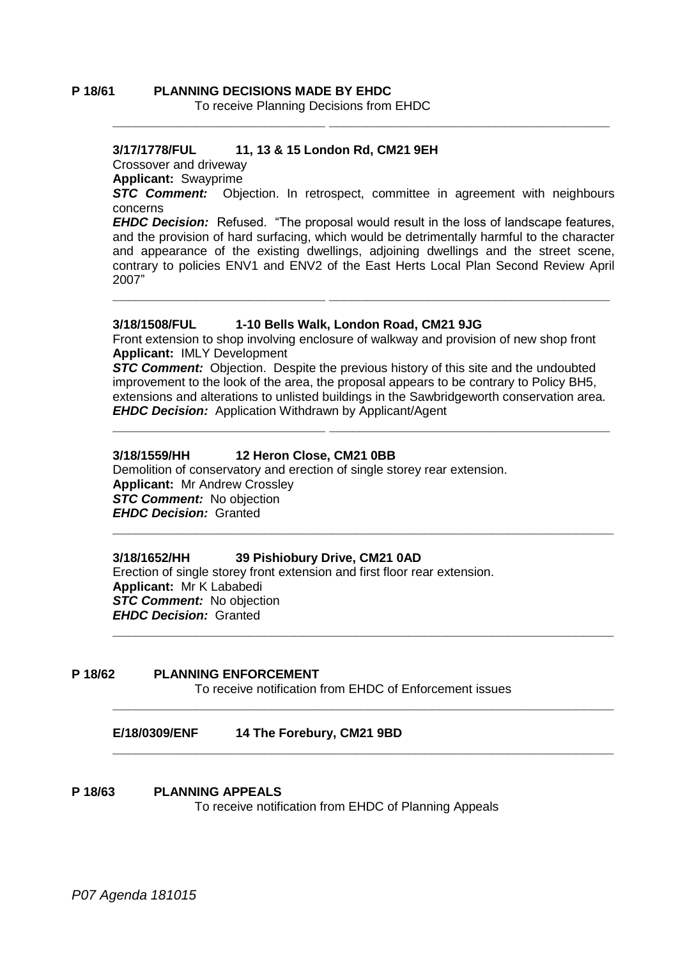# **P 18/61 PLANNING DECISIONS MADE BY EHDC**

To receive Planning Decisions from EHDC

# **3/17/1778/FUL 11, 13 & 15 London Rd, CM21 9EH**

Crossover and driveway

**Applicant:** Swayprime

**STC Comment:** Objection. In retrospect, committee in agreement with neighbours concerns

**\_\_\_\_\_\_\_\_\_\_\_\_\_\_\_\_\_\_\_\_\_\_\_\_\_\_\_\_ \_\_\_\_\_\_\_\_\_\_\_\_\_\_\_\_\_\_\_\_\_\_\_\_\_\_\_\_\_\_\_\_\_\_\_\_\_**

*EHDC Decision:* Refused. "The proposal would result in the loss of landscape features, and the provision of hard surfacing, which would be detrimentally harmful to the character and appearance of the existing dwellings, adjoining dwellings and the street scene, contrary to policies ENV1 and ENV2 of the East Herts Local Plan Second Review April 2007"

**\_\_\_\_\_\_\_\_\_\_\_\_\_\_\_\_\_\_\_\_\_\_\_\_\_\_\_\_ \_\_\_\_\_\_\_\_\_\_\_\_\_\_\_\_\_\_\_\_\_\_\_\_\_\_\_\_\_\_\_\_\_\_\_\_\_**

#### **3/18/1508/FUL 1-10 Bells Walk, London Road, CM21 9JG**

Front extension to shop involving enclosure of walkway and provision of new shop front **Applicant:** IMLY Development

**STC Comment:** Objection. Despite the previous history of this site and the undoubted improvement to the look of the area, the proposal appears to be contrary to Policy BH5, extensions and alterations to unlisted buildings in the Sawbridgeworth conservation area. *EHDC Decision:* Application Withdrawn by Applicant/Agent

**\_\_\_\_\_\_\_\_\_\_\_\_\_\_\_\_\_\_\_\_\_\_\_\_\_\_\_\_ \_\_\_\_\_\_\_\_\_\_\_\_\_\_\_\_\_\_\_\_\_\_\_\_\_\_\_\_\_\_\_\_\_\_\_\_\_**

# **3/18/1559/HH 12 Heron Close, CM21 0BB**

Demolition of conservatory and erection of single storey rear extension. **Applicant:** Mr Andrew Crossley *STC Comment:* No objection *EHDC Decision:* Granted **\_\_\_\_\_\_\_\_\_\_\_\_\_\_\_\_\_\_\_\_\_\_\_\_\_\_\_\_\_\_\_\_\_\_\_\_\_\_\_\_\_\_\_\_\_\_\_\_\_\_\_\_\_\_\_\_\_\_\_\_\_\_\_\_\_\_**

# **3/18/1652/HH 39 Pishiobury Drive, CM21 0AD**

Erection of single storey front extension and first floor rear extension. **Applicant:** Mr K Lababedi *STC Comment:* No objection *EHDC Decision:* Granted **\_\_\_\_\_\_\_\_\_\_\_\_\_\_\_\_\_\_\_\_\_\_\_\_\_\_\_\_\_\_\_\_\_\_\_\_\_\_\_\_\_\_\_\_\_\_\_\_\_\_\_\_\_\_\_\_\_\_\_\_\_\_\_\_\_\_**

#### **P 18/62 PLANNING ENFORCEMENT**

To receive notification from EHDC of Enforcement issues

**\_\_\_\_\_\_\_\_\_\_\_\_\_\_\_\_\_\_\_\_\_\_\_\_\_\_\_\_\_\_\_\_\_\_\_\_\_\_\_\_\_\_\_\_\_\_\_\_\_\_\_\_\_\_\_\_\_\_\_\_\_\_\_\_\_\_**

**\_\_\_\_\_\_\_\_\_\_\_\_\_\_\_\_\_\_\_\_\_\_\_\_\_\_\_\_\_\_\_\_\_\_\_\_\_\_\_\_\_\_\_\_\_\_\_\_\_\_\_\_\_\_\_\_\_\_\_\_\_\_\_\_\_\_**

# **E/18/0309/ENF 14 The Forebury, CM21 9BD**

#### **P 18/63 PLANNING APPEALS**

To receive notification from EHDC of Planning Appeals